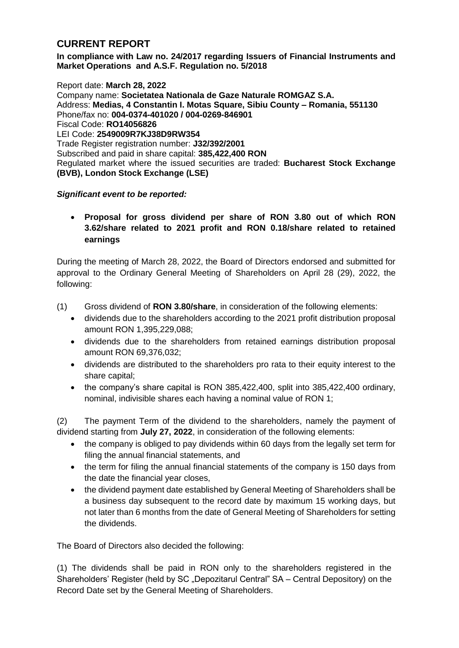## **CURRENT REPORT**

**In compliance with Law no. 24/2017 regarding Issuers of Financial Instruments and Market Operations and A.S.F. Regulation no. 5/2018**

Report date: **March 28, 2022** Company name: **Societatea Nationala de Gaze Naturale ROMGAZ S.A.** Address: **Medias, 4 Constantin I. Motas Square, Sibiu County – Romania, 551130** Phone/fax no: **004-0374-401020 / 004-0269-846901** Fiscal Code: **RO14056826** LEI Code: **2549009R7KJ38D9RW354** Trade Register registration number: **J32/392/2001** Subscribed and paid in share capital: **385,422,400 RON** Regulated market where the issued securities are traded: **Bucharest Stock Exchange (BVB), London Stock Exchange (LSE)**

## *Significant event to be reported:*

 **Proposal for gross dividend per share of RON 3.80 out of which RON 3.62/share related to 2021 profit and RON 0.18/share related to retained earnings** 

During the meeting of March 28, 2022, the Board of Directors endorsed and submitted for approval to the Ordinary General Meeting of Shareholders on April 28 (29), 2022, the following:

- (1) Gross dividend of **RON 3.80/share**, in consideration of the following elements:
	- dividends due to the shareholders according to the 2021 profit distribution proposal amount RON 1,395,229,088;
	- dividends due to the shareholders from retained earnings distribution proposal amount RON 69,376,032;
	- dividends are distributed to the shareholders pro rata to their equity interest to the share capital;
	- $\bullet$  the company's share capital is RON 385,422,400, split into 385,422,400 ordinary, nominal, indivisible shares each having a nominal value of RON 1;

(2) The payment Term of the dividend to the shareholders, namely the payment of dividend starting from **July 27, 2022**, in consideration of the following elements:

- the company is obliged to pay dividends within 60 days from the legally set term for filing the annual financial statements, and
- the term for filing the annual financial statements of the company is 150 days from the date the financial year closes,
- the dividend payment date established by General Meeting of Shareholders shall be a business day subsequent to the record date by maximum 15 working days, but not later than 6 months from the date of General Meeting of Shareholders for setting the dividends.

The Board of Directors also decided the following:

(1) The dividends shall be paid in RON only to the shareholders registered in the Shareholders' Register (held by SC "Depozitarul Central" SA – Central Depository) on the Record Date set by the General Meeting of Shareholders.